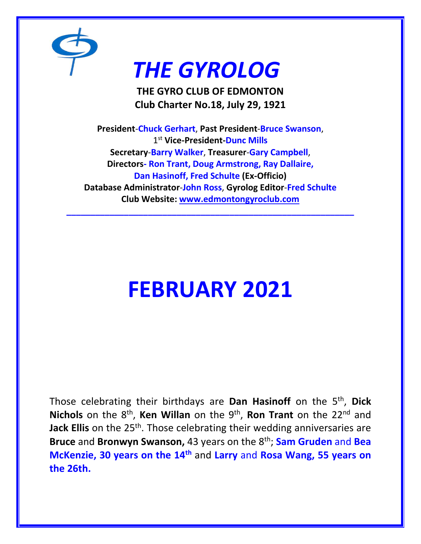

## *THE GYROLOG*

**THE GYRO CLUB OF EDMONTON Club Charter No.18, July 29, 1921**

**President**-**Chuck Gerhart**, **Past President**-**Bruce Swanson**, 1 st **Vice-President-Dunc Mills Secretary**-**Barry Walker**, **Treasurer**-**Gary Campbell**, **Directors- Ron Trant, Doug Armstrong, Ray Dallaire, Dan Hasinoff, Fred Schulte (Ex-Officio) Database Administrator**-**John Ross**, **Gyrolog Editor**-**Fred Schulte Club Website: [www.edmontongyroclub.com](http://www.edmontongyroclub.com/)**

**\_\_\_\_\_\_\_\_\_\_\_\_\_\_\_\_\_\_\_\_\_\_\_\_\_\_\_\_\_\_\_\_\_\_\_\_\_\_\_\_\_\_\_\_\_\_\_\_\_\_\_\_\_\_\_\_\_\_\_\_**

# **FEBRUARY 2021**

Those celebrating their birthdays are **Dan Hasinoff** on the 5<sup>th</sup>, Dick Nichols on the 8<sup>th</sup>, Ken Willan on the 9<sup>th</sup>, Ron Trant on the 22<sup>nd</sup> and **Jack Ellis** on the 25<sup>th</sup>. Those celebrating their wedding anniversaries are **Bruce** and **Bronwyn Swanson,** 43 years on the 8th; **Sam Gruden** and **Bea McKenzie, 30 years on the 14th** and **Larry** and **Rosa Wang, 55 years on the 26th.**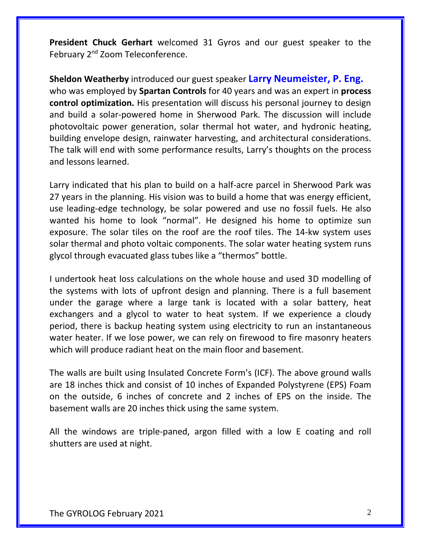**President Chuck Gerhart** welcomed 31 Gyros and our guest speaker to the February 2<sup>nd</sup> Zoom Teleconference.

**Sheldon Weatherby** introduced our guest speaker **Larry Neumeister, P. Eng.** who was employed by **Spartan Controls** for 40 years and was an expert in **process control optimization.** His presentation will discuss his personal journey to design and build a solar-powered home in Sherwood Park. The discussion will include photovoltaic power generation, solar thermal hot water, and hydronic heating, building envelope design, rainwater harvesting, and architectural considerations. The talk will end with some performance results, Larry's thoughts on the process and lessons learned.

Larry indicated that his plan to build on a half-acre parcel in Sherwood Park was 27 years in the planning. His vision was to build a home that was energy efficient, use leading-edge technology, be solar powered and use no fossil fuels. He also wanted his home to look "normal". He designed his home to optimize sun exposure. The solar tiles on the roof are the roof tiles. The 14-kw system uses solar thermal and photo voltaic components. The solar water heating system runs glycol through evacuated glass tubes like a "thermos" bottle.

I undertook heat loss calculations on the whole house and used 3D modelling of the systems with lots of upfront design and planning. There is a full basement under the garage where a large tank is located with a solar battery, heat exchangers and a glycol to water to heat system. If we experience a cloudy period, there is backup heating system using electricity to run an instantaneous water heater. If we lose power, we can rely on firewood to fire masonry heaters which will produce radiant heat on the main floor and basement.

The walls are built using Insulated Concrete Form's (ICF). The above ground walls are 18 inches thick and consist of 10 inches of Expanded Polystyrene (EPS) Foam on the outside, 6 inches of concrete and 2 inches of EPS on the inside. The basement walls are 20 inches thick using the same system.

All the windows are triple-paned, argon filled with a low E coating and roll shutters are used at night.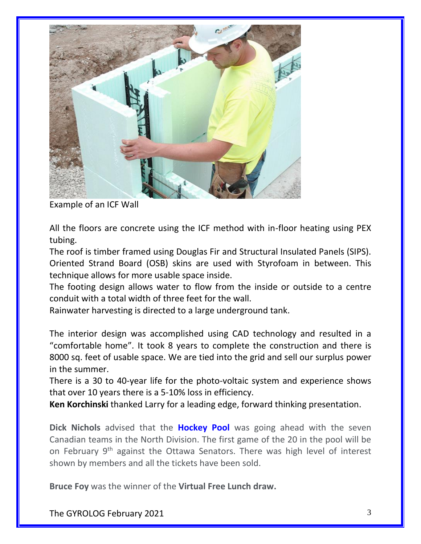

Example of an ICF Wall

All the floors are concrete using the ICF method with in-floor heating using PEX tubing.

The roof is timber framed using Douglas Fir and Structural Insulated Panels (SIPS). Oriented Strand Board (OSB) skins are used with Styrofoam in between. This technique allows for more usable space inside.

The footing design allows water to flow from the inside or outside to a centre conduit with a total width of three feet for the wall.

Rainwater harvesting is directed to a large underground tank.

The interior design was accomplished using CAD technology and resulted in a "comfortable home". It took 8 years to complete the construction and there is 8000 sq. feet of usable space. We are tied into the grid and sell our surplus power in the summer.

There is a 30 to 40-year life for the photo-voltaic system and experience shows that over 10 years there is a 5-10% loss in efficiency.

**Ken Korchinski** thanked Larry for a leading edge, forward thinking presentation.

**Dick Nichols** advised that the **Hockey Pool** was going ahead with the seven Canadian teams in the North Division. The first game of the 20 in the pool will be on February 9<sup>th</sup> against the Ottawa Senators. There was high level of interest shown by members and all the tickets have been sold.

**Bruce Foy** was the winner of the **Virtual Free Lunch draw.**

The GYROLOG February 2021 3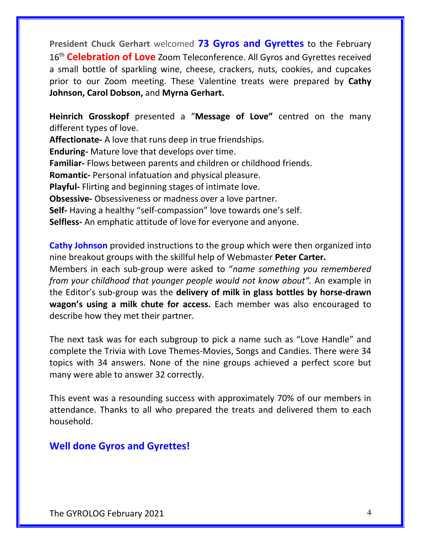**President Chuck Gerhart** welcomed **73 Gyros and Gyrettes** to the February 16th **Celebration of Love** Zoom Teleconference. All Gyros and Gyrettes received a small bottle of sparkling wine, cheese, crackers, nuts, cookies, and cupcakes prior to our Zoom meeting. These Valentine treats were prepared by **Cathy Johnson, Carol Dobson,** and **Myrna Gerhart.**

**Heinrich Grosskopf** presented a "**Message of Love"** centred on the many different types of love.

**Affectionate-** A love that runs deep in true friendships.

**Enduring-** Mature love that develops over time.

**Familiar-** Flows between parents and children or childhood friends.

**Romantic-** Personal infatuation and physical pleasure.

**Playful-** Flirting and beginning stages of intimate love.

**Obsessive-** Obsessiveness or madness over a love partner.

**Self-** Having a healthy "self-compassion" love towards one's self.

**Selfless-** An emphatic attitude of love for everyone and anyone.

**Cathy Johnson** provided instructions to the group which were then organized into nine breakout groups with the skillful help of Webmaster **Peter Carter.**

Members in each sub-group were asked to "*name something you remembered from your childhood that younger people would not know about".* An example in the Editor's sub-group was the **delivery of milk in glass bottles by horse-drawn wagon's using a milk chute for access.** Each member was also encouraged to describe how they met their partner.

The next task was for each subgroup to pick a name such as "Love Handle" and complete the Trivia with Love Themes-Movies, Songs and Candies. There were 34 topics with 34 answers. None of the nine groups achieved a perfect score but many were able to answer 32 correctly.

This event was a resounding success with approximately 70% of our members in attendance. Thanks to all who prepared the treats and delivered them to each household.

## **Well done Gyros and Gyrettes!**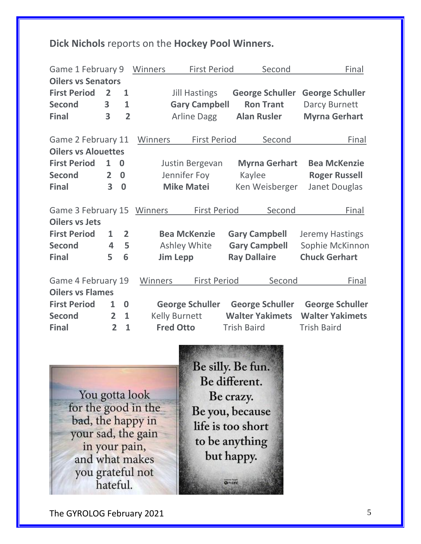## **Dick Nichols** reports on the **Hockey Pool Winners.**

| Game 1 February 9          |                |                | <b>First Period</b><br>Winners | Second                 | Final                  |
|----------------------------|----------------|----------------|--------------------------------|------------------------|------------------------|
| <b>Oilers vs Senators</b>  |                |                |                                |                        |                        |
| <b>First Period</b>        | $\overline{2}$ | $\mathbf{1}$   | <b>Jill Hastings</b>           | <b>George Schuller</b> | <b>George Schuller</b> |
| <b>Second</b>              | 3              | 1              | <b>Gary Campbell</b>           | <b>Ron Trant</b>       | Darcy Burnett          |
| <b>Final</b>               | 3              | $\overline{2}$ | <b>Arline Dagg</b>             | <b>Alan Rusler</b>     | <b>Myrna Gerhart</b>   |
|                            |                |                |                                |                        |                        |
| Game 2 February 11         |                |                | <b>First Period</b><br>Winners | Second                 | Final                  |
| <b>Oilers vs Alouettes</b> |                |                |                                |                        |                        |
| <b>First Period</b>        | 1              | 0              | Justin Bergevan                | <b>Myrna Gerhart</b>   | <b>Bea McKenzie</b>    |
| <b>Second</b>              | $\overline{2}$ | $\bf{0}$       | Jennifer Foy                   | Kaylee                 | <b>Roger Russell</b>   |
| <b>Final</b>               | 3              | $\bf{0}$       | <b>Mike Matei</b>              | Ken Weisberger         | Janet Douglas          |
| Game 3 February 15         |                |                | <b>First Period</b><br>Winners | Second                 | Final                  |
| <b>Oilers vs Jets</b>      |                |                |                                |                        |                        |
| <b>First Period</b>        | $\mathbf{1}$   | $\overline{2}$ | <b>Bea McKenzie</b>            | <b>Gary Campbell</b>   | <b>Jeremy Hastings</b> |
| <b>Second</b>              | 4              | 5              | <b>Ashley White</b>            | <b>Gary Campbell</b>   | Sophie McKinnon        |
| <b>Final</b>               | 5              | 6              | <b>Jim Lepp</b>                | <b>Ray Dallaire</b>    | <b>Chuck Gerhart</b>   |
| Game 4 February 19         |                |                | <b>First Period</b><br>Winners | Second                 | Final                  |
| <b>Oilers vs Flames</b>    |                |                |                                |                        |                        |
| <b>First Period</b>        | $\mathbf{1}$   | $\bf{0}$       | <b>George Schuller</b>         | <b>George Schuller</b> | <b>George Schuller</b> |
| <b>Second</b>              | $\overline{2}$ | $\mathbf{1}$   | <b>Kelly Burnett</b>           | <b>Walter Yakimets</b> | <b>Walter Yakimets</b> |
| <b>Final</b>               | $\overline{2}$ | $\mathbf{1}$   | <b>Fred Otto</b>               | <b>Trish Baird</b>     | <b>Trish Baird</b>     |

You gotta look for the good in the bad, the happy in your sad, the gain in your pain, and what makes you grateful not<br>hateful.

Be silly. Be fun. Be different. Be crazy. Be you, because life is too short to be anything but happy. **Q**<sup>ov</sup>LIFE

The GYROLOG February 2021 5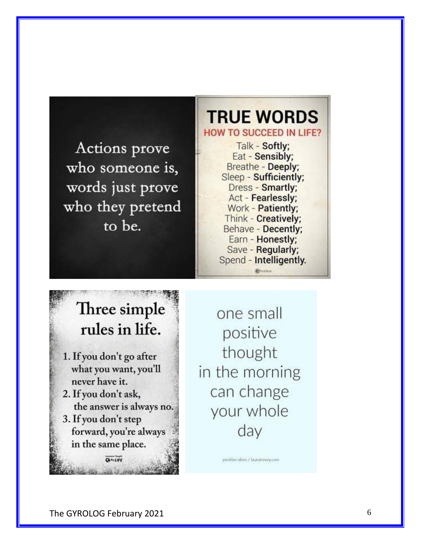Actions prove who someone is, words just prove who they pretend to be.

## **TRUE WORDS HOW TO SUCCEED IN LIFE?**

Talk - Softly; Eat - Sensibly; Breathe - Deeply; Sleep - Sufficiently; Dress - Smartly; Act - Fearlessly; Work - Patiently; Think - Creatively; Behave - Decently; Earn - Honestly; Save - Regularly; Spend - Intelligently.

## Three simple rules in life.

- 1. If you don't go after what you want, you'll never have it.
- 2. If you don't ask, the answer is always no.
- 3. If you don't step forward, you're always in the same place.

CASILIFE

A. Jessels

one small positive thought in the morning can change your whole day

positive vibes / lauratrevey.com